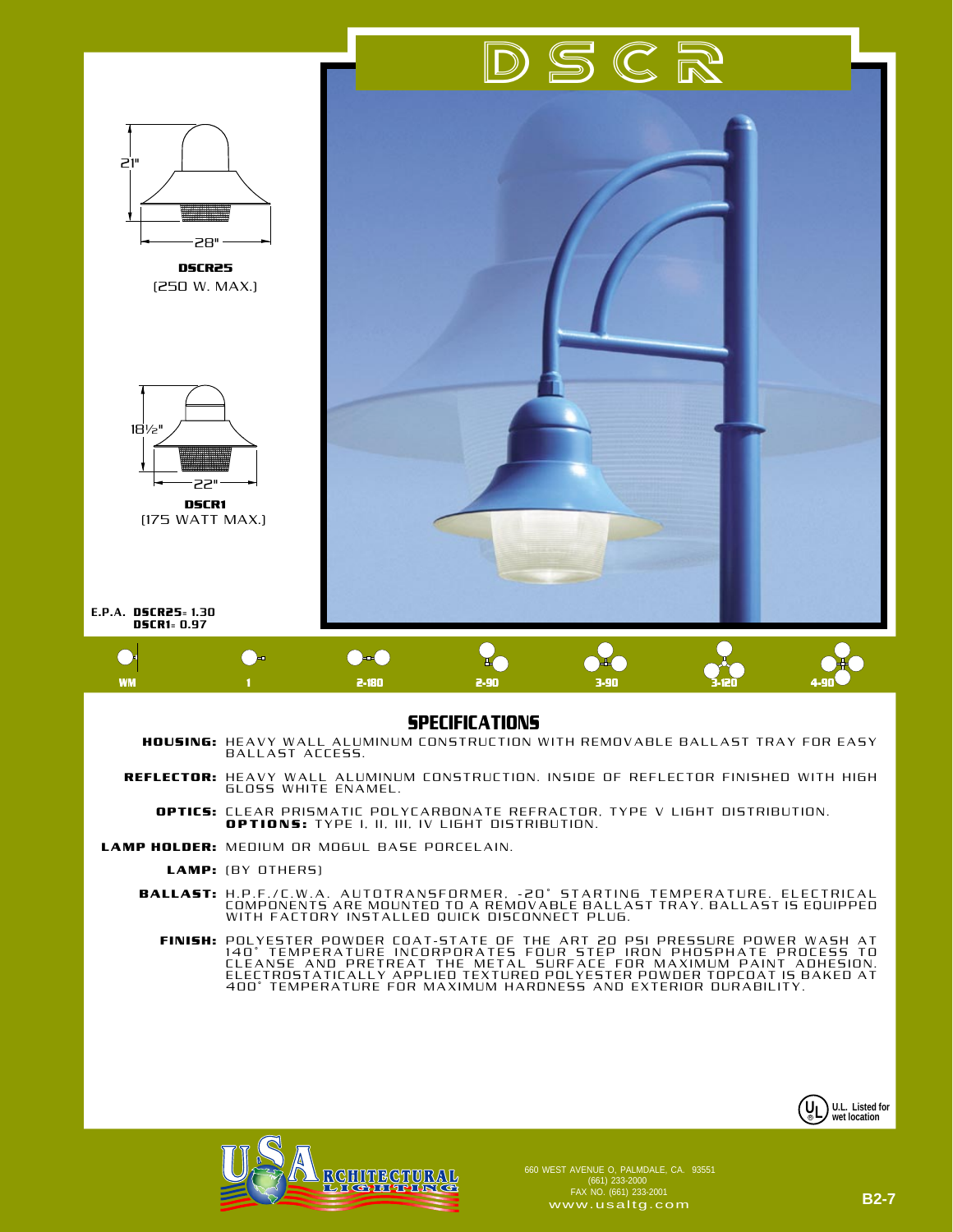

## **SPECIFICATIONS**

- **HOUSING:** HEAVY WALL ALUMINUM CONSTRUCTION WITH REMOVABLE BALLAST TRAY FOR EASY<br>BALLAST ACCESS.
	- **REFLECTOR:** HEAVY WALL ALUMINUM CONSTRUCTION. INSIDE OF REFLECTOR FINISHED WITH HIGH<br>GLOSS WHITE ENAMEL.
		- CLEAR PRISMATIC POLYCARBONATE REFRACTOR, TYPE V LIGHT DISTRIBUTION. **OPTIONS:** TYPE I, II, III, IV LIGHT DISTRIBUTION.  **OPTICS:**
- LAMP HOLDER: MEDIUM OR MOGUL BASE PORCELAIN.
	- (BY OTHERS) **LAMP:**
	- H.P.F./C.W.A. AUTOTRANSFORMER, -20° STARTING TEMPERATURE. ELECTRICAL<br>COMPONENTS ARE MOUNTED TO A REMOVABLE BALLAST TRAY. BALLAST IS EQUIPPED<br>WITH FACTORY INSTALLED QUICK DISCONNECT PLUG. **BALLAST:**
		- POLYESTER POWDER COAT-STATE OF THE ART 20 PSI PRESSURE POWER WASH AT<br>140° TEMPERATURE INCORPORATES FOUR STEP IRON PHOSPHATE PROCESS TO<br>CLEANSE AND PRETREAT THE METAL SURFACE FOR MAXIMUM PAINT ADHESION.<br>ELECTROSTATICALLY AP **FINISH:**